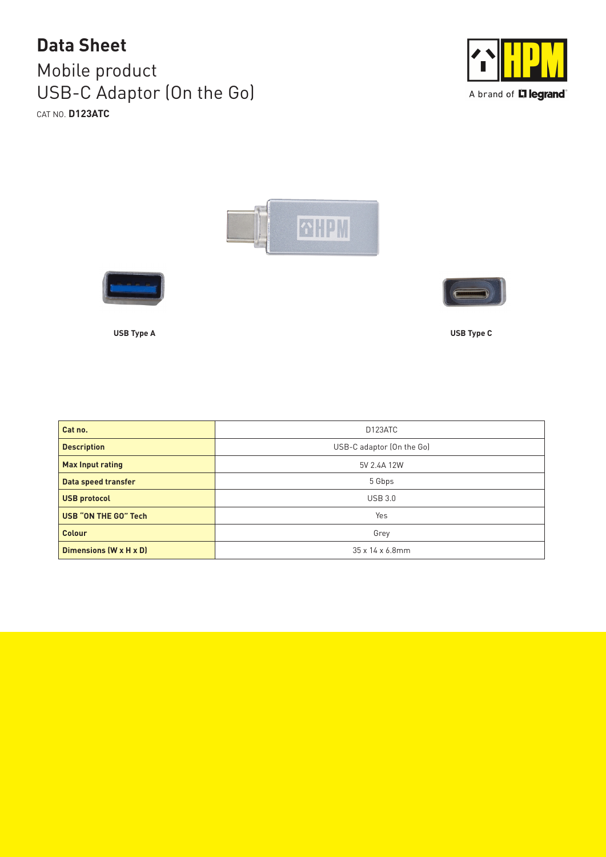## Mobile product USB-C Adaptor (On the Go) CAT NO. **D123ATC Data Sheet**









**USB Type A USB Type C**

| Cat no.                     | D123ATC                   |
|-----------------------------|---------------------------|
| <b>Description</b>          | USB-C adaptor (On the Go) |
| <b>Max Input rating</b>     | 5V 2.4A 12W               |
| Data speed transfer         | 5 Gbps                    |
| <b>USB protocol</b>         | <b>USB 3.0</b>            |
| <b>USB "ON THE GO" Tech</b> | Yes                       |
| <b>Colour</b>               | Grey                      |
| Dimensions (W x H x D)      | 35 x 14 x 6.8mm           |